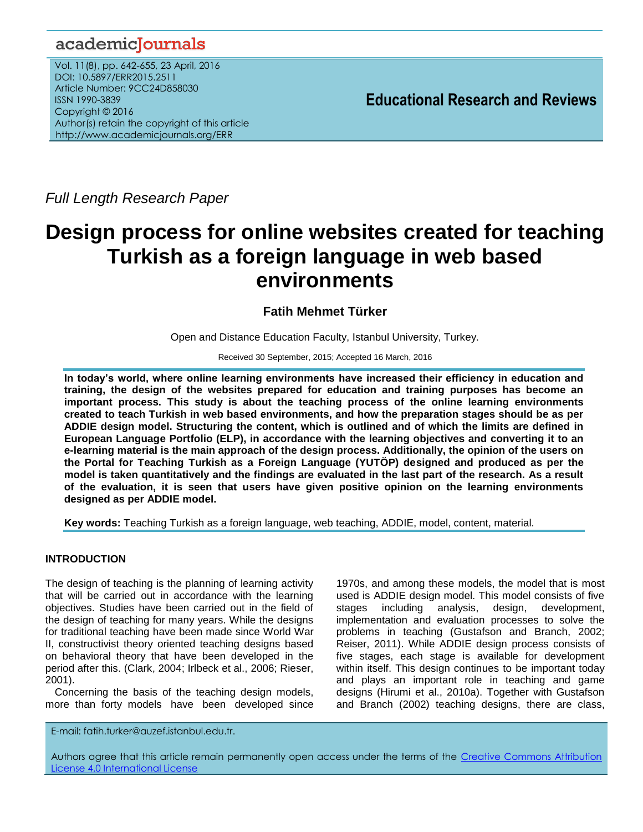## academicJournals

Vol. 11(8), pp. 642-655, 23 April, 2016 DOI: 10.5897/ERR2015.2511 Article Number: 9CC24D858030 ISSN 1990-3839 Copyright © 2016 Author(s) retain the copyright of this article http://www.academicjournals.org/ERR

**Educational Research and Reviews**

*Full Length Research Paper*

# **Design process for online websites created for teaching Turkish as a foreign language in web based environments**

## **Fatih Mehmet Türker**

Open and Distance Education Faculty, Istanbul University, Turkey.

Received 30 September, 2015; Accepted 16 March, 2016

**In today's world, where online learning environments have increased their efficiency in education and training, the design of the websites prepared for education and training purposes has become an important process. This study is about the teaching process of the online learning environments created to teach Turkish in web based environments, and how the preparation stages should be as per ADDIE design model. Structuring the content, which is outlined and of which the limits are defined in European Language Portfolio (ELP), in accordance with the learning objectives and converting it to an e-learning material is the main approach of the design process. Additionally, the opinion of the users on the Portal for Teaching Turkish as a Foreign Language (YUTÖP) designed and produced as per the model is taken quantitatively and the findings are evaluated in the last part of the research. As a result of the evaluation, it is seen that users have given positive opinion on the learning environments designed as per ADDIE model.** 

**Key words:** Teaching Turkish as a foreign language, web teaching, ADDIE, model, content, material.

## **INTRODUCTION**

The design of teaching is the planning of learning activity that will be carried out in accordance with the learning objectives. Studies have been carried out in the field of the design of teaching for many years. While the designs for traditional teaching have been made since World War II, constructivist theory oriented teaching designs based on behavioral theory that have been developed in the period after this. (Clark, 2004; Irlbeck et al., 2006; Rieser, 2001).

Concerning the basis of the teaching design models, more than forty models have been developed since

1970s, and among these models, the model that is most used is ADDIE design model. This model consists of five stages including analysis, design, development, implementation and evaluation processes to solve the problems in teaching (Gustafson and Branch, 2002; Reiser, 2011). While ADDIE design process consists of five stages, each stage is available for development within itself. This design continues to be important today and plays an important role in teaching and game designs (Hirumi et al., 2010a). Together with Gustafson and Branch (2002) teaching designs, there are class,

E-mail: fatih.turker@auzef.istanbul.edu.tr.

Authors agree that this article remain permanently open access under the terms of the Creative Commons Attribution [License 4.0 International License](file://192.168.1.24/reading/Arts%20and%20Education/ERR/2014/sept/read/Correction%20Pdf%201/ERR-17.04.14-1816/Publication/Creative%20Co)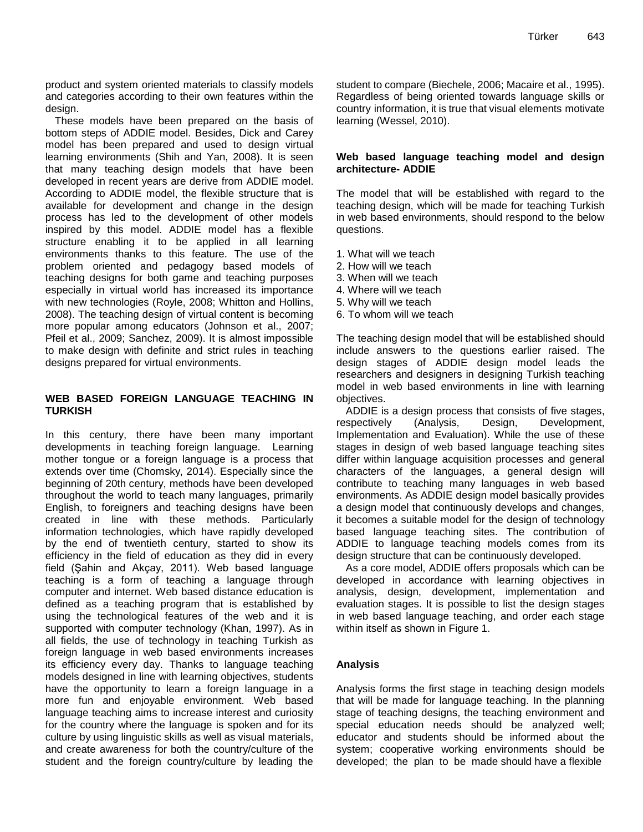product and system oriented materials to classify models and categories according to their own features within the design.

These models have been prepared on the basis of bottom steps of ADDIE model. Besides, Dick and Carey model has been prepared and used to design virtual learning environments (Shih and Yan, 2008). It is seen that many teaching design models that have been developed in recent years are derive from ADDIE model. According to ADDIE model, the flexible structure that is available for development and change in the design process has led to the development of other models inspired by this model. ADDIE model has a flexible structure enabling it to be applied in all learning environments thanks to this feature. The use of the problem oriented and pedagogy based models of teaching designs for both game and teaching purposes especially in virtual world has increased its importance with new technologies (Royle, 2008; Whitton and Hollins, 2008). The teaching design of virtual content is becoming more popular among educators (Johnson et al., 2007; Pfeil et al., 2009; Sanchez, 2009). It is almost impossible to make design with definite and strict rules in teaching designs prepared for virtual environments.

## **WEB BASED FOREIGN LANGUAGE TEACHING IN TURKISH**

In this century, there have been many important developments in teaching foreign language. Learning mother tongue or a foreign language is a process that extends over time (Chomsky, 2014). Especially since the beginning of 20th century, methods have been developed throughout the world to teach many languages, primarily English, to foreigners and teaching designs have been created in line with these methods. Particularly information technologies, which have rapidly developed by the end of twentieth century, started to show its efficiency in the field of education as they did in every field (Şahin and Akçay, 2011). Web based language teaching is a form of teaching a language through computer and internet. Web based distance education is defined as a teaching program that is established by using the technological features of the web and it is supported with computer technology (Khan, 1997). As in all fields, the use of technology in teaching Turkish as foreign language in web based environments increases its efficiency every day. Thanks to language teaching models designed in line with learning objectives, students have the opportunity to learn a foreign language in a more fun and enjoyable environment. Web based language teaching aims to increase interest and curiosity for the country where the language is spoken and for its culture by using linguistic skills as well as visual materials, and create awareness for both the country/culture of the student and the foreign country/culture by leading the student to compare (Biechele, 2006; Macaire et al., 1995). Regardless of being oriented towards language skills or country information, it is true that visual elements motivate learning (Wessel, 2010).

## **Web based language teaching model and design architecture- ADDIE**

The model that will be established with regard to the teaching design, which will be made for teaching Turkish in web based environments, should respond to the below questions.

- 1. What will we teach
- 2. How will we teach
- 3. When will we teach
- 4. Where will we teach
- 5. Why will we teach
- 6. To whom will we teach

The teaching design model that will be established should include answers to the questions earlier raised. The design stages of ADDIE design model leads the researchers and designers in designing Turkish teaching model in web based environments in line with learning objectives.

ADDIE is a design process that consists of five stages, respectively (Analysis, Design, Development, Implementation and Evaluation). While the use of these stages in design of web based language teaching sites differ within language acquisition processes and general characters of the languages, a general design will contribute to teaching many languages in web based environments. As ADDIE design model basically provides a design model that continuously develops and changes, it becomes a suitable model for the design of technology based language teaching sites. The contribution of ADDIE to language teaching models comes from its design structure that can be continuously developed.

As a core model, ADDIE offers proposals which can be developed in accordance with learning objectives in analysis, design, development, implementation and evaluation stages. It is possible to list the design stages in web based language teaching, and order each stage within itself as shown in Figure 1.

## **Analysis**

Analysis forms the first stage in teaching design models that will be made for language teaching. In the planning stage of teaching designs, the teaching environment and special education needs should be analyzed well; educator and students should be informed about the system; cooperative working environments should be developed; the plan to be made should have a flexible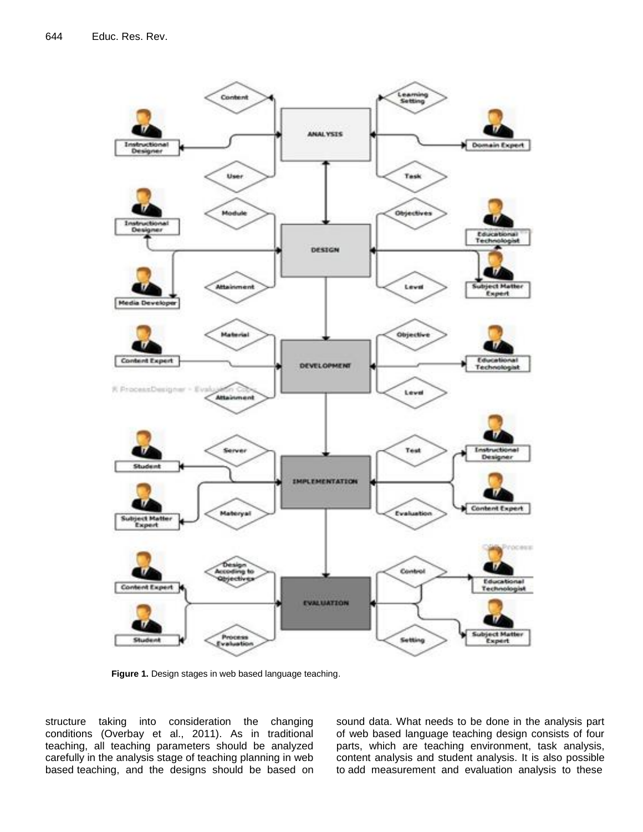

**Figure 1.** Design stages in web based language teaching.

structure taking into consideration the changing conditions (Overbay et al., 2011). As in traditional teaching, all teaching parameters should be analyzed carefully in the analysis stage of teaching planning in web based teaching, and the designs should be based on sound data. What needs to be done in the analysis part of web based language teaching design consists of four parts, which are teaching environment, task analysis, content analysis and student analysis. It is also possible to add measurement and evaluation analysis to these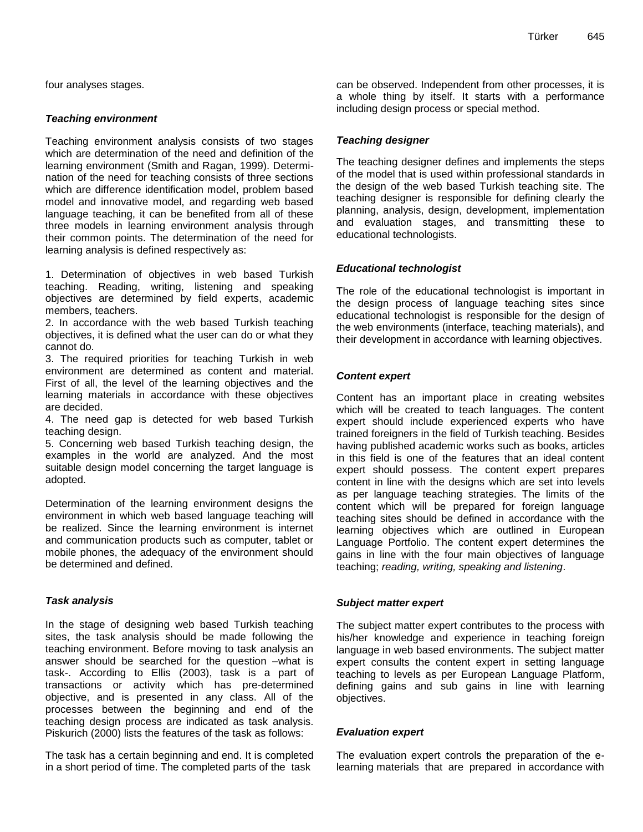four analyses stages.

## *Teaching environment*

Teaching environment analysis consists of two stages which are determination of the need and definition of the learning environment (Smith and Ragan, 1999). Determination of the need for teaching consists of three sections which are difference identification model, problem based model and innovative model, and regarding web based language teaching, it can be benefited from all of these three models in learning environment analysis through their common points. The determination of the need for learning analysis is defined respectively as:

1. Determination of objectives in web based Turkish teaching. Reading, writing, listening and speaking objectives are determined by field experts, academic members, teachers.

2. In accordance with the web based Turkish teaching objectives, it is defined what the user can do or what they cannot do.

3. The required priorities for teaching Turkish in web environment are determined as content and material. First of all, the level of the learning objectives and the learning materials in accordance with these objectives are decided.

4. The need gap is detected for web based Turkish teaching design.

5. Concerning web based Turkish teaching design, the examples in the world are analyzed. And the most suitable design model concerning the target language is adopted.

Determination of the learning environment designs the environment in which web based language teaching will be realized. Since the learning environment is internet and communication products such as computer, tablet or mobile phones, the adequacy of the environment should be determined and defined.

## *Task analysis*

In the stage of designing web based Turkish teaching sites, the task analysis should be made following the teaching environment. Before moving to task analysis an answer should be searched for the question –what is task-. According to Ellis (2003), task is a part of transactions or activity which has pre-determined objective, and is presented in any class. All of the processes between the beginning and end of the teaching design process are indicated as task analysis. Piskurich (2000) lists the features of the task as follows:

The task has a certain beginning and end. It is completed in a short period of time. The completed parts of the task

can be observed. Independent from other processes, it is a whole thing by itself. It starts with a performance including design process or special method.

## *Teaching designer*

The teaching designer defines and implements the steps of the model that is used within professional standards in the design of the web based Turkish teaching site. The teaching designer is responsible for defining clearly the planning, analysis, design, development, implementation and evaluation stages, and transmitting these to educational technologists.

## *Educational technologist*

The role of the educational technologist is important in the design process of language teaching sites since educational technologist is responsible for the design of the web environments (interface, teaching materials), and their development in accordance with learning objectives.

## *Content expert*

Content has an important place in creating websites which will be created to teach languages. The content expert should include experienced experts who have trained foreigners in the field of Turkish teaching. Besides having published academic works such as books, articles in this field is one of the features that an ideal content expert should possess. The content expert prepares content in line with the designs which are set into levels as per language teaching strategies. The limits of the content which will be prepared for foreign language teaching sites should be defined in accordance with the learning objectives which are outlined in European Language Portfolio. The content expert determines the gains in line with the four main objectives of language teaching; *reading, writing, speaking and listening*.

## *Subject matter expert*

The subject matter expert contributes to the process with his/her knowledge and experience in teaching foreign language in web based environments. The subject matter expert consults the content expert in setting language teaching to levels as per European Language Platform, defining gains and sub gains in line with learning objectives.

## *Evaluation expert*

The evaluation expert controls the preparation of the elearning materials that are prepared in accordance with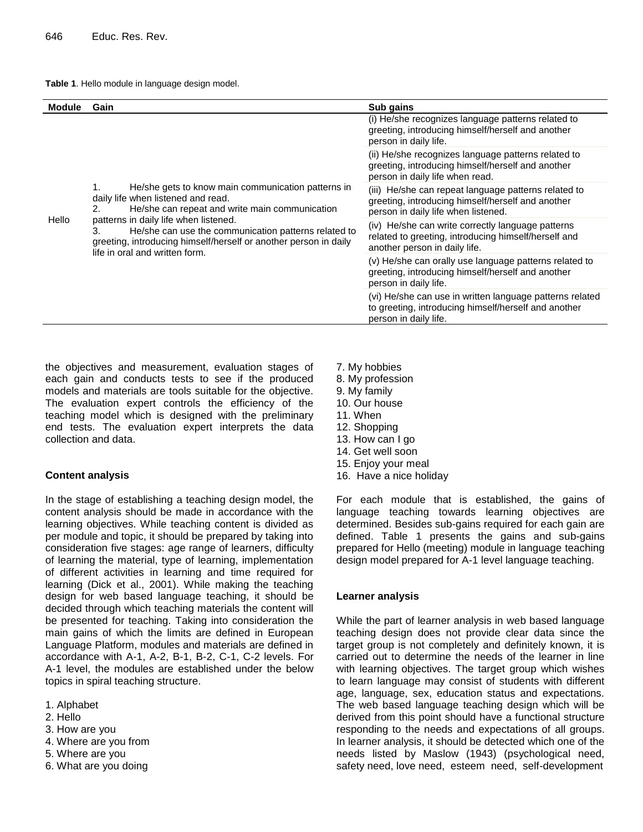#### **Table 1**. Hello module in language design model.

| <b>Module</b> | Gain                                                                                                                                                                                                                                                                                                                                                                | Sub gains                                                                                                                                        |  |
|---------------|---------------------------------------------------------------------------------------------------------------------------------------------------------------------------------------------------------------------------------------------------------------------------------------------------------------------------------------------------------------------|--------------------------------------------------------------------------------------------------------------------------------------------------|--|
| Hello         |                                                                                                                                                                                                                                                                                                                                                                     | (i) He/she recognizes language patterns related to<br>greeting, introducing himself/herself and another<br>person in daily life.                 |  |
|               | He/she gets to know main communication patterns in<br>1.<br>daily life when listened and read.<br>He/she can repeat and write main communication<br>2.<br>patterns in daily life when listened.<br>He/she can use the communication patterns related to<br>3.<br>greeting, introducing himself/herself or another person in daily<br>life in oral and written form. | (ii) He/she recognizes language patterns related to<br>greeting, introducing himself/herself and another<br>person in daily life when read.      |  |
|               |                                                                                                                                                                                                                                                                                                                                                                     | (iii) He/she can repeat language patterns related to<br>greeting, introducing himself/herself and another<br>person in daily life when listened. |  |
|               |                                                                                                                                                                                                                                                                                                                                                                     | (iv) He/she can write correctly language patterns<br>related to greeting, introducing himself/herself and<br>another person in daily life.       |  |
|               |                                                                                                                                                                                                                                                                                                                                                                     | (v) He/she can orally use language patterns related to<br>greeting, introducing himself/herself and another<br>person in daily life.             |  |
|               |                                                                                                                                                                                                                                                                                                                                                                     | (vi) He/she can use in written language patterns related<br>to greeting, introducing himself/herself and another<br>person in daily life.        |  |

the objectives and measurement, evaluation stages of each gain and conducts tests to see if the produced models and materials are tools suitable for the objective. The evaluation expert controls the efficiency of the teaching model which is designed with the preliminary end tests. The evaluation expert interprets the data collection and data.

#### **Content analysis**

In the stage of establishing a teaching design model, the content analysis should be made in accordance with the learning objectives. While teaching content is divided as per module and topic, it should be prepared by taking into consideration five stages: age range of learners, difficulty of learning the material, type of learning, implementation of different activities in learning and time required for learning (Dick et al., 2001). While making the teaching design for web based language teaching, it should be decided through which teaching materials the content will be presented for teaching. Taking into consideration the main gains of which the limits are defined in European Language Platform, modules and materials are defined in accordance with A-1, A-2, B-1, B-2, C-1, C-2 levels. For A-1 level, the modules are established under the below topics in spiral teaching structure.

- 1. Alphabet
- 2. Hello
- 3. How are you
- 4. Where are you from
- 5. Where are you
- 6. What are you doing
- 7. My hobbies
- 8. My profession
- 9. My family
- 10. Our house
- 11. When
- 12. Shopping
- 13. How can I go
- 14. Get well soon
- 15. Enjoy your meal
- 16. Have a nice holiday

For each module that is established, the gains of language teaching towards learning objectives are determined. Besides sub-gains required for each gain are defined. Table 1 presents the gains and sub-gains prepared for Hello (meeting) module in language teaching design model prepared for A-1 level language teaching.

#### **Learner analysis**

While the part of learner analysis in web based language teaching design does not provide clear data since the target group is not completely and definitely known, it is carried out to determine the needs of the learner in line with learning objectives. The target group which wishes to learn language may consist of students with different age, language, sex, education status and expectations. The web based language teaching design which will be derived from this point should have a functional structure responding to the needs and expectations of all groups. In learner analysis, it should be detected which one of the needs listed by Maslow (1943) (psychological need, safety need, love need, esteem need, self-development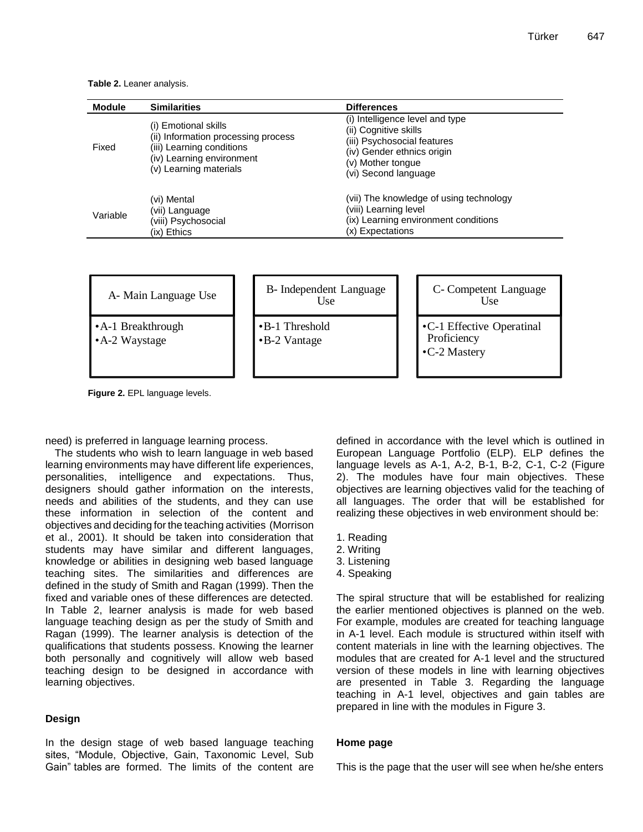**Table 2.** Leaner analysis.

| <b>Module</b> | <b>Similarities</b>                                                                                                                             | <b>Differences</b>                                                                                                                                                 |
|---------------|-------------------------------------------------------------------------------------------------------------------------------------------------|--------------------------------------------------------------------------------------------------------------------------------------------------------------------|
| Fixed         | (i) Emotional skills<br>(ii) Information processing process<br>(iii) Learning conditions<br>(iv) Learning environment<br>(v) Learning materials | (i) Intelligence level and type<br>(ii) Cognitive skills<br>(iii) Psychosocial features<br>(iv) Gender ethnics origin<br>(v) Mother tongue<br>(vi) Second language |
| Variable      | (vi) Mental<br>(vii) Language<br>viii) Psychosocial<br>(ix) Ethics                                                                              | (vii) The knowledge of using technology<br>(viii) Learning level<br>(ix) Learning environment conditions<br>(x) Expectations                                       |

| A- Main Language Use |
|----------------------|
|----------------------|

- •A-1 Breakthrough
- •A-2 Waystage

| B- Independent Language<br>I Ise        |  |
|-----------------------------------------|--|
| $\bullet$ B-1 Threshold<br>•B-2 Vantage |  |



**Proficiency** •C-2 Mastery

**Figure 2.** EPL language levels.

need) is preferred in language learning process.

The students who wish to learn language in web based learning environments may have different life experiences, personalities, intelligence and expectations. Thus, designers should gather information on the interests, needs and abilities of the students, and they can use these information in selection of the content and objectives and deciding for the teaching activities (Morrison et al., 2001). It should be taken into consideration that students may have similar and different languages, knowledge or abilities in designing web based language teaching sites. The similarities and differences are defined in the study of Smith and Ragan (1999). Then the fixed and variable ones of these differences are detected. In Table 2, learner analysis is made for web based language teaching design as per the study of Smith and Ragan (1999). The learner analysis is detection of the qualifications that students possess. Knowing the learner both personally and cognitively will allow web based teaching design to be designed in accordance with learning objectives. The The United States of the United States and the United States and the United States of the United States and the United States and the United States and the United States and the United States and the United States A-1,

## **Design**

In the design stage of web based language teaching sites, "Module, Objective, Gain, Taxonomic Level, Sub Gain" tables are formed. The limits of the content are defined in accordance with the level which is outlined in European Language Portfolio (ELP). ELP defines the language levels as A-1, A-2, B-1, B-2, C-1, C-2 (Figure 2). The modules have four main objectives. These objectives are learning objectives valid for the teaching of all languages. The order that will be established for realizing these objectives in web environment should be:

- 1. Reading
- 2. Writing
- 3. Listening
- 4. Speaking

The spiral structure that will be established for realizing the earlier mentioned objectives is planned on the web. For example, modules are created for teaching language in A-1 level. Each module is structured within itself with content materials in line with the learning objectives. The modules that are created for A-1 level and the structured version of these models in line with learning objectives are presented in Table 3. Regarding the language teaching in A-1 level, objectives and gain tables are prepared in line with the modules in Figure 3.

## **Home page**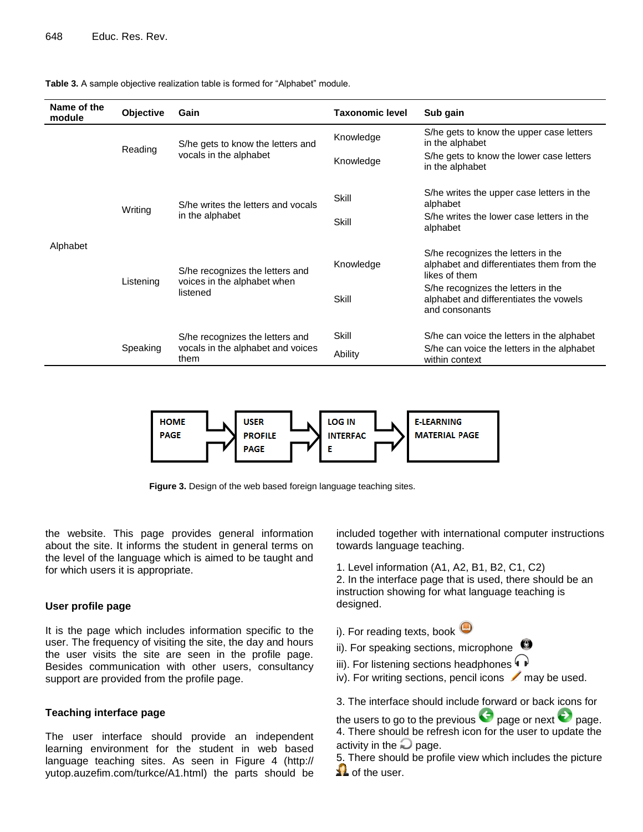| Name of the<br>module | <b>Objective</b> | Gain                                                                         | <b>Taxonomic level</b> | Sub gain                                                                                         |
|-----------------------|------------------|------------------------------------------------------------------------------|------------------------|--------------------------------------------------------------------------------------------------|
|                       | Reading          | S/he gets to know the letters and<br>vocals in the alphabet                  | Knowledge              | S/he gets to know the upper case letters<br>in the alphabet                                      |
|                       |                  |                                                                              | Knowledge              | S/he gets to know the lower case letters<br>in the alphabet                                      |
|                       | Writing          | S/he writes the letters and vocals<br>in the alphabet                        | Skill                  | S/he writes the upper case letters in the<br>alphabet                                            |
|                       |                  |                                                                              | Skill                  | S/he writes the lower case letters in the<br>alphabet                                            |
| Alphabet              | Listening        | S/he recognizes the letters and<br>voices in the alphabet when<br>listened   | Knowledge              | S/he recognizes the letters in the<br>alphabet and differentiates them from the<br>likes of them |
|                       |                  |                                                                              | Skill                  | S/he recognizes the letters in the<br>alphabet and differentiates the vowels<br>and consonants   |
|                       |                  | S/he recognizes the letters and<br>vocals in the alphabet and voices<br>them | Skill                  | S/he can voice the letters in the alphabet                                                       |
|                       | Speaking         |                                                                              | Ability                | S/he can voice the letters in the alphabet<br>within context                                     |

**Table 3.** A sample objective realization table is formed for "Alphabet" module.



**Figure 3.** Design of the web based foreign language teaching sites.

the website. This page provides general information about the site. It informs the student in general terms on the level of the language which is aimed to be taught and for which users it is appropriate.

#### **User profile page**

It is the page which includes information specific to the user. The frequency of visiting the site, the day and hours the user visits the site are seen in the profile page. Besides communication with other users, consultancy support are provided from the profile page.

#### **Teaching interface page**

The user interface should provide an independent learning environment for the student in web based language teaching sites. As seen in Figure 4 (http:// yutop.auzefim.com/turkce/A1.html) the parts should be included together with international computer instructions towards language teaching.

1. Level information (A1, A2, B1, B2, C1, C2)

2. In the interface page that is used, there should be an instruction showing for what language teaching is designed.

- i). For reading texts, book  $\bullet$
- ii). For speaking sections, microphone
- iii). For listening sections headphones  $\overrightarrow{P}$
- iv). For writing sections, pencil icons  $\Box$  may be used.

3. The interface should include forward or back icons for

the users to go to the previous  $\bullet$  page or next  $\bullet$  page. 4. There should be refresh icon for the user to update the activity in the  $\Box$  page.

5. There should be profile view which includes the picture  $\blacktriangle$  of the user.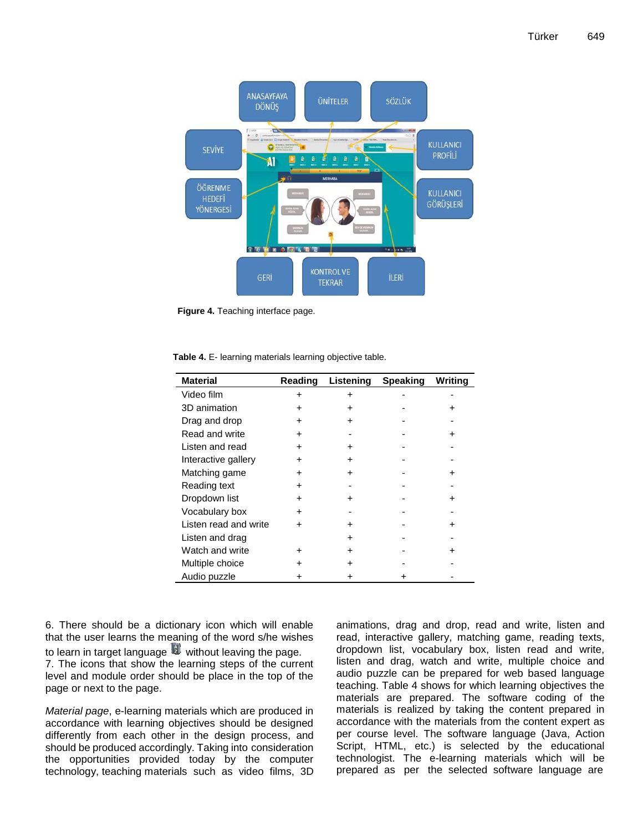

**Figure 4.** Teaching interface page.

| Table 4. E- learning materials learning objective table. |  |  |  |  |  |
|----------------------------------------------------------|--|--|--|--|--|
|----------------------------------------------------------|--|--|--|--|--|

| <b>Material</b>       | Reading | Listening | <b>Speaking</b> | <b>Writing</b> |
|-----------------------|---------|-----------|-----------------|----------------|
| Video film            |         |           |                 |                |
| 3D animation          |         |           |                 |                |
| Drag and drop         | +       |           |                 |                |
| Read and write        | +       |           |                 |                |
| Listen and read       |         |           |                 |                |
| Interactive gallery   |         |           |                 |                |
| Matching game         | +       |           |                 |                |
| Reading text          |         |           |                 |                |
| Dropdown list         | +       |           |                 |                |
| Vocabulary box        | +       |           |                 |                |
| Listen read and write |         |           |                 |                |
| Listen and drag       |         |           |                 |                |
| Watch and write       |         |           |                 |                |
| Multiple choice       |         |           |                 |                |
| Audio puzzle          |         |           |                 |                |

6. There should be a dictionary icon which will enable that the user learns the meaning of the word s/he wishes to learn in target language  $\mathbb{Q}$  without leaving the page. 7. The icons that show the learning steps of the current

level and module order should be place in the top of the page or next to the page.

*Material page*, e-learning materials which are produced in accordance with learning objectives should be designed differently from each other in the design process, and should be produced accordingly. Taking into consideration the opportunities provided today by the computer technology, teaching materials such as video films, 3D animations, drag and drop, read and write, listen and read, interactive gallery, matching game, reading texts, dropdown list, vocabulary box, listen read and write, listen and drag, watch and write, multiple choice and audio puzzle can be prepared for web based language teaching. Table 4 shows for which learning objectives the materials are prepared. The software coding of the materials is realized by taking the content prepared in accordance with the materials from the content expert as per course level. The software language (Java, Action Script, HTML, etc.) is selected by the educational technologist. The e-learning materials which will be prepared as per the selected software language are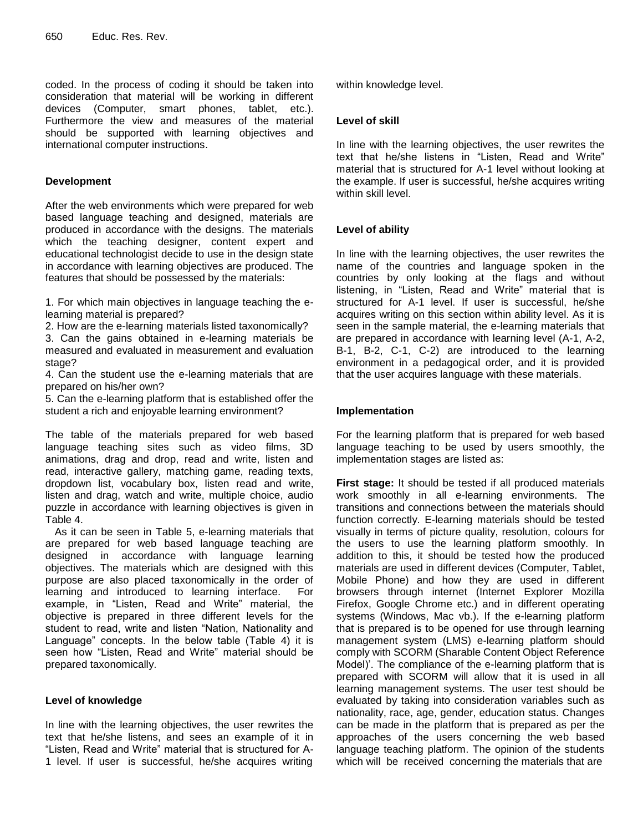coded. In the process of coding it should be taken into consideration that material will be working in different devices (Computer, smart phones, tablet, etc.). Furthermore the view and measures of the material should be supported with learning objectives and international computer instructions.

## **Development**

After the web environments which were prepared for web based language teaching and designed, materials are produced in accordance with the designs. The materials which the teaching designer, content expert and educational technologist decide to use in the design state in accordance with learning objectives are produced. The features that should be possessed by the materials:

1. For which main objectives in language teaching the elearning material is prepared?

2. How are the e-learning materials listed taxonomically?

3. Can the gains obtained in e-learning materials be measured and evaluated in measurement and evaluation stage?

4. Can the student use the e-learning materials that are prepared on his/her own?

5. Can the e-learning platform that is established offer the student a rich and enjoyable learning environment?

The table of the materials prepared for web based language teaching sites such as video films, 3D animations, drag and drop, read and write, listen and read, interactive gallery, matching game, reading texts, dropdown list, vocabulary box, listen read and write, listen and drag, watch and write, multiple choice, audio puzzle in accordance with learning objectives is given in Table 4.

As it can be seen in Table 5, e-learning materials that are prepared for web based language teaching are designed in accordance with language learning objectives. The materials which are designed with this purpose are also placed taxonomically in the order of learning and introduced to learning interface. For example, in "Listen, Read and Write" material, the objective is prepared in three different levels for the student to read, write and listen "Nation, Nationality and Language" concepts. In the below table (Table 4) it is seen how "Listen, Read and Write" material should be prepared taxonomically.

## **Level of knowledge**

In line with the learning objectives, the user rewrites the text that he/she listens, and sees an example of it in "Listen, Read and Write" material that is structured for A-1 level. If user is successful, he/she acquires writing within knowledge level.

## **Level of skill**

In line with the learning objectives, the user rewrites the text that he/she listens in "Listen, Read and Write" material that is structured for A-1 level without looking at the example. If user is successful, he/she acquires writing within skill level.

## **Level of ability**

In line with the learning objectives, the user rewrites the name of the countries and language spoken in the countries by only looking at the flags and without listening, in "Listen, Read and Write" material that is structured for A-1 level. If user is successful, he/she acquires writing on this section within ability level. As it is seen in the sample material, the e-learning materials that are prepared in accordance with learning level (A-1, A-2, B-1, B-2, C-1, C-2) are introduced to the learning environment in a pedagogical order, and it is provided that the user acquires language with these materials.

## **Implementation**

For the learning platform that is prepared for web based language teaching to be used by users smoothly, the implementation stages are listed as:

**First stage:** It should be tested if all produced materials work smoothly in all e-learning environments. The transitions and connections between the materials should function correctly. E-learning materials should be tested visually in terms of picture quality, resolution, colours for the users to use the learning platform smoothly. In addition to this, it should be tested how the produced materials are used in different devices (Computer, Tablet, Mobile Phone) and how they are used in different browsers through internet (Internet Explorer Mozilla Firefox, Google Chrome etc.) and in different operating systems (Windows, Mac vb.). If the e-learning platform that is prepared is to be opened for use through learning management system (LMS) e-learning platform should comply with SCORM (Sharable Content Object Reference Model)'. The compliance of the e-learning platform that is prepared with SCORM will allow that it is used in all learning management systems. The user test should be evaluated by taking into consideration variables such as nationality, race, age, gender, education status. Changes can be made in the platform that is prepared as per the approaches of the users concerning the web based language teaching platform. The opinion of the students which will be received concerning the materials that are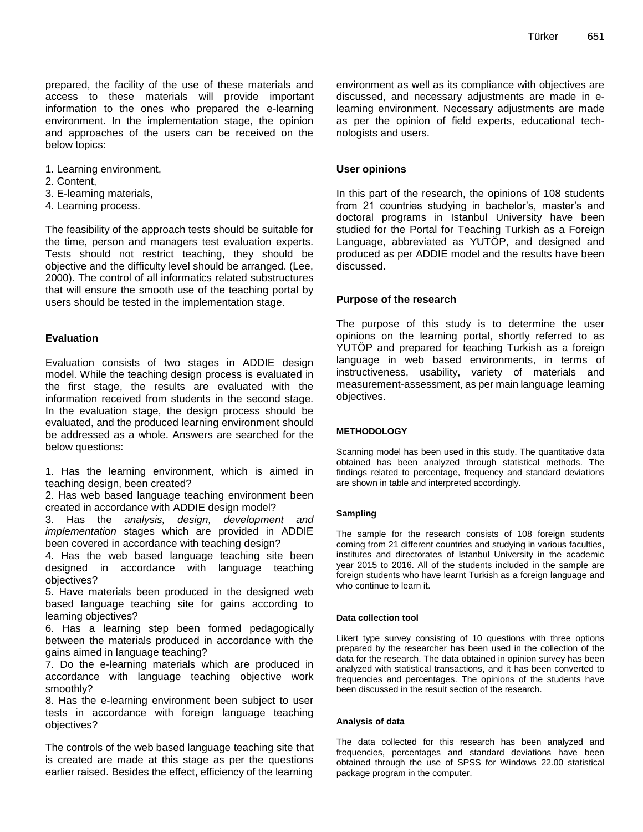prepared, the facility of the use of these materials and access to these materials will provide important information to the ones who prepared the e-learning environment. In the implementation stage, the opinion and approaches of the users can be received on the below topics:

- 1. Learning environment,
- 2. Content,
- 3. E-learning materials,
- 4. Learning process.

The feasibility of the approach tests should be suitable for the time, person and managers test evaluation experts. Tests should not restrict teaching, they should be objective and the difficulty level should be arranged. (Lee, 2000). The control of all informatics related substructures that will ensure the smooth use of the teaching portal by users should be tested in the implementation stage.

#### **Evaluation**

Evaluation consists of two stages in ADDIE design model. While the teaching design process is evaluated in the first stage, the results are evaluated with the information received from students in the second stage. In the evaluation stage, the design process should be evaluated, and the produced learning environment should be addressed as a whole. Answers are searched for the below questions:

1. Has the learning environment, which is aimed in teaching design, been created?

2. Has web based language teaching environment been created in accordance with ADDIE design model?

3. Has the *analysis, design, development and implementation* stages which are provided in ADDIE been covered in accordance with teaching design?

4. Has the web based language teaching site been designed in accordance with language teaching objectives?

5. Have materials been produced in the designed web based language teaching site for gains according to learning objectives?

6. Has a learning step been formed pedagogically between the materials produced in accordance with the gains aimed in language teaching?

7. Do the e-learning materials which are produced in accordance with language teaching objective work smoothly?

8. Has the e-learning environment been subject to user tests in accordance with foreign language teaching objectives?

The controls of the web based language teaching site that is created are made at this stage as per the questions earlier raised. Besides the effect, efficiency of the learning

environment as well as its compliance with objectives are discussed, and necessary adjustments are made in elearning environment. Necessary adjustments are made as per the opinion of field experts, educational technologists and users.

#### **User opinions**

In this part of the research, the opinions of 108 students from 21 countries studying in bachelor's, master's and doctoral programs in Istanbul University have been studied for the Portal for Teaching Turkish as a Foreign Language, abbreviated as YUTÖP, and designed and produced as per ADDIE model and the results have been discussed.

### **Purpose of the research**

The purpose of this study is to determine the user opinions on the learning portal, shortly referred to as YUTÖP and prepared for teaching Turkish as a foreign language in web based environments, in terms of instructiveness, usability, variety of materials and measurement-assessment, as per main language learning objectives.

#### **METHODOLOGY**

Scanning model has been used in this study. The quantitative data obtained has been analyzed through statistical methods. The findings related to percentage, frequency and standard deviations are shown in table and interpreted accordingly.

#### **Sampling**

The sample for the research consists of 108 foreign students coming from 21 different countries and studying in various faculties, institutes and directorates of Istanbul University in the academic year 2015 to 2016. All of the students included in the sample are foreign students who have learnt Turkish as a foreign language and who continue to learn it.

#### **Data collection tool**

Likert type survey consisting of 10 questions with three options prepared by the researcher has been used in the collection of the data for the research. The data obtained in opinion survey has been analyzed with statistical transactions, and it has been converted to frequencies and percentages. The opinions of the students have been discussed in the result section of the research.

#### **Analysis of data**

The data collected for this research has been analyzed and frequencies, percentages and standard deviations have been obtained through the use of SPSS for Windows 22.00 statistical package program in the computer.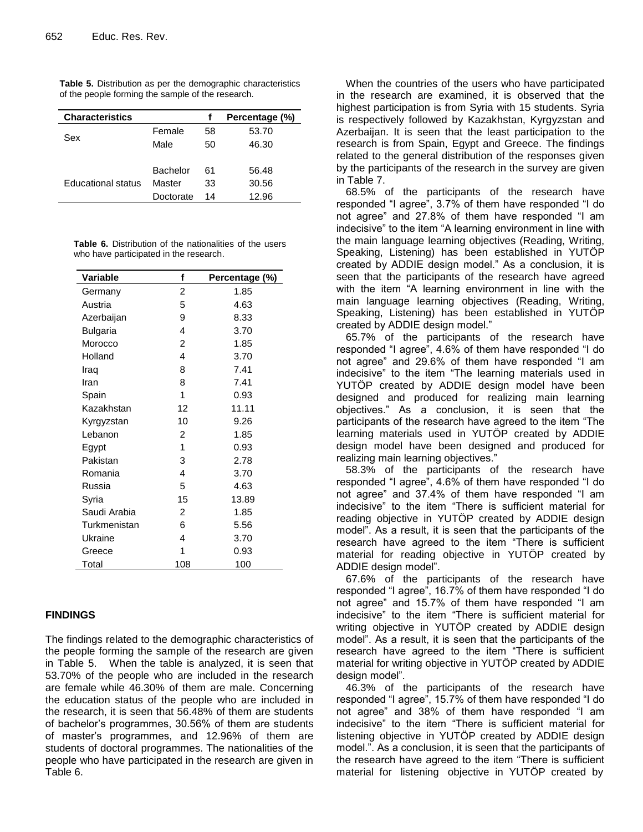| <b>Characteristics</b>    |                 |    | Percentage (%) |  |  |  |
|---------------------------|-----------------|----|----------------|--|--|--|
| Sex                       | Female          | 58 | 53.70          |  |  |  |
|                           | Male            | 50 | 46.30          |  |  |  |
|                           |                 |    |                |  |  |  |
|                           | <b>Bachelor</b> | 61 | 56.48          |  |  |  |
| <b>Educational status</b> | Master          | 33 | 30.56          |  |  |  |
|                           | Doctorate       | 14 | 12.96          |  |  |  |

**Table 5.** Distribution as per the demographic characteristics of the people forming the sample of the research.

**Table 6.** Distribution of the nationalities of the users who have participated in the research.

| Variable     | f              | Percentage (%) |
|--------------|----------------|----------------|
| Germany      | 2              | 1.85           |
| Austria      | 5              | 4.63           |
| Azerbaijan   | 9              | 8.33           |
| Bulgaria     | 4              | 3.70           |
| Morocco      | 2              | 1.85           |
| Holland      | 4              | 3.70           |
| Iraq         | 8              | 7.41           |
| Iran         | 8              | 7.41           |
| Spain        | 1              | 0.93           |
| Kazakhstan   | 12             | 11.11          |
| Kyrgyzstan   | 10             | 9.26           |
| Lebanon      | 2              | 1.85           |
| Egypt        | 1              | 0.93           |
| Pakistan     | 3              | 2.78           |
| Romania      | 4              | 3.70           |
| Russia       | 5              | 4.63           |
| Syria        | 15             | 13.89          |
| Saudi Arabia | $\mathfrak{p}$ | 1.85           |
| Turkmenistan | 6              | 5.56           |
| Ukraine      | 4              | 3.70           |
| Greece       | 1              | 0.93           |
| Total        | 108            | 100            |

## **FINDINGS**

The findings related to the demographic characteristics of the people forming the sample of the research are given in Table 5. When the table is analyzed, it is seen that 53.70% of the people who are included in the research are female while 46.30% of them are male. Concerning the education status of the people who are included in the research, it is seen that 56.48% of them are students of bachelor's programmes, 30.56% of them are students of master's programmes, and 12.96% of them are students of doctoral programmes. The nationalities of the people who have participated in the research are given in Table 6.

When the countries of the users who have participated in the research are examined, it is observed that the highest participation is from Syria with 15 students. Syria is respectively followed by Kazakhstan, Kyrgyzstan and Azerbaijan. It is seen that the least participation to the research is from Spain, Egypt and Greece. The findings related to the general distribution of the responses given by the participants of the research in the survey are given in Table 7.

68.5% of the participants of the research have responded "I agree", 3.7% of them have responded "I do not agree" and 27.8% of them have responded "I am indecisive" to the item "A learning environment in line with the main language learning objectives (Reading, Writing, Speaking, Listening) has been established in YUTÖP created by ADDIE design model." As a conclusion, it is seen that the participants of the research have agreed with the item "A learning environment in line with the main language learning objectives (Reading, Writing, Speaking, Listening) has been established in YUTÖP created by ADDIE design model."

65.7% of the participants of the research have responded "I agree", 4.6% of them have responded "I do not agree" and 29.6% of them have responded "I am indecisive" to the item "The learning materials used in YUTÖP created by ADDIE design model have been designed and produced for realizing main learning objectives." As a conclusion, it is seen that the participants of the research have agreed to the item "The learning materials used in YUTÖP created by ADDIE design model have been designed and produced for realizing main learning objectives."

58.3% of the participants of the research have responded "I agree", 4.6% of them have responded "I do not agree" and 37.4% of them have responded "I am indecisive" to the item "There is sufficient material for reading objective in YUTÖP created by ADDIE design model". As a result, it is seen that the participants of the research have agreed to the item "There is sufficient material for reading objective in YUTÖP created by ADDIE design model".

67.6% of the participants of the research have responded "I agree", 16.7% of them have responded "I do not agree" and 15.7% of them have responded "I am indecisive" to the item "There is sufficient material for writing objective in YUTÖP created by ADDIE design model". As a result, it is seen that the participants of the research have agreed to the item "There is sufficient material for writing objective in YUTÖP created by ADDIE design model".

46.3% of the participants of the research have responded "I agree", 15.7% of them have responded "I do not agree" and 38% of them have responded "I am indecisive" to the item "There is sufficient material for listening objective in YUTÖP created by ADDIE design model.". As a conclusion, it is seen that the participants of the research have agreed to the item "There is sufficient material for listening objective in YUTOP created by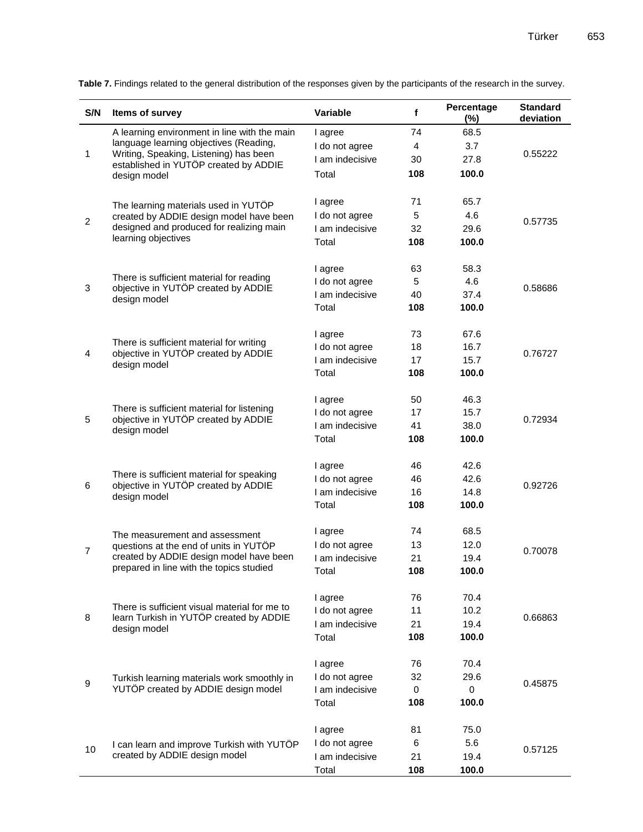| S/N            | Items of survey                                                                                   | Variable                  | $\mathbf f$ | Percentage<br>$(\%)$ | <b>Standard</b><br>deviation |
|----------------|---------------------------------------------------------------------------------------------------|---------------------------|-------------|----------------------|------------------------------|
|                | A learning environment in line with the main                                                      | I agree                   | 74          | 68.5                 |                              |
| 1              | language learning objectives (Reading,                                                            | I do not agree            | 4           | 3.7                  |                              |
|                | Writing, Speaking, Listening) has been<br>established in YUTÖP created by ADDIE                   | I am indecisive           | 30          | 27.8                 | 0.55222                      |
|                | design model                                                                                      | Total                     | 108         | 100.0                |                              |
|                |                                                                                                   |                           |             |                      |                              |
|                | The learning materials used in YUTÖP                                                              | I agree                   | 71          | 65.7                 |                              |
| 2              | created by ADDIE design model have been                                                           | I do not agree            | 5           | 4.6                  | 0.57735                      |
|                | designed and produced for realizing main                                                          | I am indecisive           | 32          | 29.6                 |                              |
|                | learning objectives                                                                               | Total                     | 108         | 100.0                |                              |
|                |                                                                                                   | I agree                   | 63          | 58.3                 |                              |
|                | There is sufficient material for reading                                                          | I do not agree            | 5           | 4.6                  |                              |
| 3              | objective in YUTÖP created by ADDIE                                                               | I am indecisive           | 40          | 37.4                 | 0.58686                      |
|                | design model                                                                                      | Total                     | 108         | 100.0                |                              |
|                |                                                                                                   |                           |             |                      |                              |
|                |                                                                                                   | I agree                   | 73          | 67.6                 |                              |
|                | There is sufficient material for writing                                                          | I do not agree            | 18          | 16.7                 |                              |
| 4              | objective in YUTÖP created by ADDIE<br>design model                                               | I am indecisive           | 17          | 15.7                 | 0.76727                      |
|                |                                                                                                   | Total                     | 108         | 100.0                |                              |
|                | There is sufficient material for listening<br>objective in YUTÖP created by ADDIE<br>design model |                           | 50          | 46.3                 |                              |
|                |                                                                                                   | I agree<br>I do not agree | 17          | 15.7                 | 0.72934                      |
| 5              |                                                                                                   | I am indecisive           | 41          | 38.0                 |                              |
|                |                                                                                                   |                           |             |                      |                              |
|                |                                                                                                   | Total                     | 108         | 100.0                |                              |
|                |                                                                                                   | I agree                   | 46          | 42.6                 |                              |
|                | There is sufficient material for speaking                                                         | I do not agree            | 46          | 42.6                 | 0.92726                      |
| 6              | objective in YUTÖP created by ADDIE<br>design model                                               | I am indecisive           | 16          | 14.8                 |                              |
|                |                                                                                                   | Total                     | 108         | 100.0                |                              |
|                |                                                                                                   |                           | 74          | 68.5                 |                              |
|                | The measurement and assessment                                                                    | I agree                   |             |                      |                              |
| $\overline{7}$ | questions at the end of units in YUTÖP<br>created by ADDIE design model have been                 | I do not agree            | 13          | 12.0                 | 0.70078                      |
|                | prepared in line with the topics studied                                                          | I am indecisive           | 21          | 19.4<br>100.0        |                              |
|                |                                                                                                   | Total                     | 108         |                      |                              |
|                | There is sufficient visual material for me to                                                     | I agree                   | 76          | 70.4                 |                              |
|                |                                                                                                   | I do not agree            | 11          | 10.2                 |                              |
| 8              | learn Turkish in YUTÖP created by ADDIE<br>design model                                           | I am indecisive           | 21          | 19.4                 | 0.66863                      |
|                |                                                                                                   | Total                     | 108         | 100.0                |                              |
|                |                                                                                                   |                           |             |                      |                              |
| 9              |                                                                                                   | I agree                   | 76          | 70.4                 |                              |
|                | Turkish learning materials work smoothly in                                                       | I do not agree            | 32          | 29.6                 | 0.45875                      |
|                | YUTÖP created by ADDIE design model                                                               | I am indecisive           | $\mathbf 0$ | 0                    |                              |
|                |                                                                                                   | Total                     | 108         | 100.0                |                              |
|                |                                                                                                   | I agree                   | 81          | 75.0                 |                              |
|                | I can learn and improve Turkish with YUTÖP                                                        | I do not agree            | 6           | 5.6                  |                              |
| 10             | created by ADDIE design model                                                                     | I am indecisive           | 21          | 19.4                 | 0.57125                      |
|                |                                                                                                   | Total                     | 108         | 100.0                |                              |

Table 7. Findings related to the general distribution of the responses given by the participants of the research in the survey.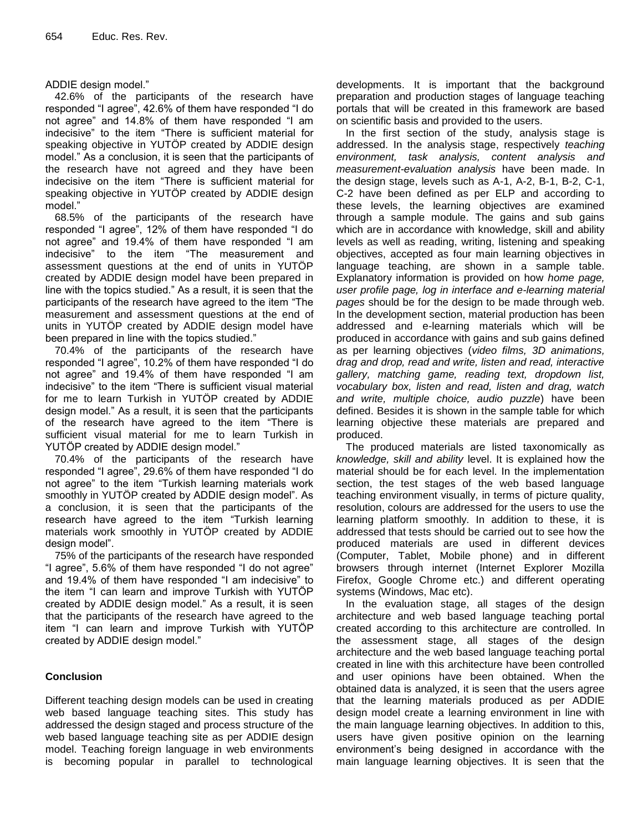ADDIE design model."

42.6% of the participants of the research have responded "I agree", 42.6% of them have responded "I do not agree" and 14.8% of them have responded "I am indecisive" to the item "There is sufficient material for speaking objective in YUTÖP created by ADDIE design model." As a conclusion, it is seen that the participants of the research have not agreed and they have been indecisive on the item "There is sufficient material for speaking objective in YUTÖP created by ADDIE design model."

68.5% of the participants of the research have responded "I agree", 12% of them have responded "I do not agree" and 19.4% of them have responded "I am indecisive" to the item "The measurement and assessment questions at the end of units in YUTÖP created by ADDIE design model have been prepared in line with the topics studied." As a result, it is seen that the participants of the research have agreed to the item "The measurement and assessment questions at the end of units in YUTÖP created by ADDIE design model have been prepared in line with the topics studied."

70.4% of the participants of the research have responded "I agree", 10.2% of them have responded "I do not agree" and 19.4% of them have responded "I am indecisive" to the item "There is sufficient visual material for me to learn Turkish in YUTÖP created by ADDIE design model." As a result, it is seen that the participants of the research have agreed to the item "There is sufficient visual material for me to learn Turkish in YUTÖP created by ADDIE design model."

70.4% of the participants of the research have responded "I agree", 29.6% of them have responded "I do not agree" to the item "Turkish learning materials work smoothly in YUTÖP created by ADDIE design model". As a conclusion, it is seen that the participants of the research have agreed to the item "Turkish learning materials work smoothly in YUTÖP created by ADDIE design model".

75% of the participants of the research have responded "I agree", 5.6% of them have responded "I do not agree" and 19.4% of them have responded "I am indecisive" to the item "I can learn and improve Turkish with YUTÖP created by ADDIE design model." As a result, it is seen that the participants of the research have agreed to the item "I can learn and improve Turkish with YUTÖP created by ADDIE design model."

## **Conclusion**

Different teaching design models can be used in creating web based language teaching sites. This study has addressed the design staged and process structure of the web based language teaching site as per ADDIE design model. Teaching foreign language in web environments is becoming popular in parallel to technological

developments. It is important that the background preparation and production stages of language teaching portals that will be created in this framework are based on scientific basis and provided to the users.

In the first section of the study, analysis stage is addressed. In the analysis stage, respectively *teaching environment, task analysis, content analysis and measurement-evaluation analysis* have been made. In the design stage, levels such as A-1, A-2, B-1, B-2, C-1, C-2 have been defined as per ELP and according to these levels, the learning objectives are examined through a sample module. The gains and sub gains which are in accordance with knowledge, skill and ability levels as well as reading, writing, listening and speaking objectives, accepted as four main learning objectives in language teaching, are shown in a sample table. Explanatory information is provided on how *home page, user profile page, log in interface and e-learning material pages* should be for the design to be made through web. In the development section, material production has been addressed and e-learning materials which will be produced in accordance with gains and sub gains defined as per learning objectives (*video films, 3D animations, drag and drop, read and write, listen and read, interactive gallery, matching game, reading text, dropdown list, vocabulary box, listen and read, listen and drag, watch and write, multiple choice, audio puzzle*) have been defined. Besides it is shown in the sample table for which learning objective these materials are prepared and produced.

The produced materials are listed taxonomically as *knowledge, skill and ability* level. It is explained how the material should be for each level. In the implementation section, the test stages of the web based language teaching environment visually, in terms of picture quality, resolution, colours are addressed for the users to use the learning platform smoothly. In addition to these, it is addressed that tests should be carried out to see how the produced materials are used in different devices (Computer, Tablet, Mobile phone) and in different browsers through internet (Internet Explorer Mozilla Firefox, Google Chrome etc.) and different operating systems (Windows, Mac etc).

In the evaluation stage, all stages of the design architecture and web based language teaching portal created according to this architecture are controlled. In the assessment stage, all stages of the design architecture and the web based language teaching portal created in line with this architecture have been controlled and user opinions have been obtained. When the obtained data is analyzed, it is seen that the users agree that the learning materials produced as per ADDIE design model create a learning environment in line with the main language learning objectives. In addition to this, users have given positive opinion on the learning environment's being designed in accordance with the main language learning objectives. It is seen that the